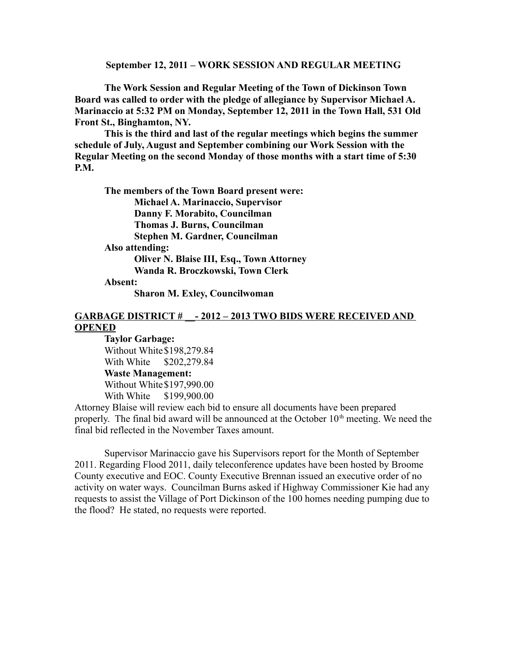#### **September 12, 2011 – WORK SESSION AND REGULAR MEETING**

**The Work Session and Regular Meeting of the Town of Dickinson Town Board was called to order with the pledge of allegiance by Supervisor Michael A. Marinaccio at 5:32 PM on Monday, September 12, 2011 in the Town Hall, 531 Old Front St., Binghamton, NY.** 

**This is the third and last of the regular meetings which begins the summer schedule of July, August and September combining our Work Session with the Regular Meeting on the second Monday of those months with a start time of 5:30 P.M.**

**The members of the Town Board present were: Michael A. Marinaccio, Supervisor Danny F. Morabito, Councilman Thomas J. Burns, Councilman Stephen M. Gardner, Councilman Also attending: Oliver N. Blaise III, Esq., Town Attorney Wanda R. Broczkowski, Town Clerk Absent: Sharon M. Exley, Councilwoman**

## GARBAGE DISTRICT #  $-2012 - 2013$  TWO BIDS WERE RECEIVED AND **OPENED**

**Taylor Garbage:** Without White\$198,279.84 With White \$202,279.84 **Waste Management:** Without White\$197,990.00 With White \$199,900.00

Attorney Blaise will review each bid to ensure all documents have been prepared properly. The final bid award will be announced at the October  $10<sup>th</sup>$  meeting. We need the final bid reflected in the November Taxes amount.

Supervisor Marinaccio gave his Supervisors report for the Month of September 2011. Regarding Flood 2011, daily teleconference updates have been hosted by Broome County executive and EOC. County Executive Brennan issued an executive order of no activity on water ways. Councilman Burns asked if Highway Commissioner Kie had any requests to assist the Village of Port Dickinson of the 100 homes needing pumping due to the flood? He stated, no requests were reported.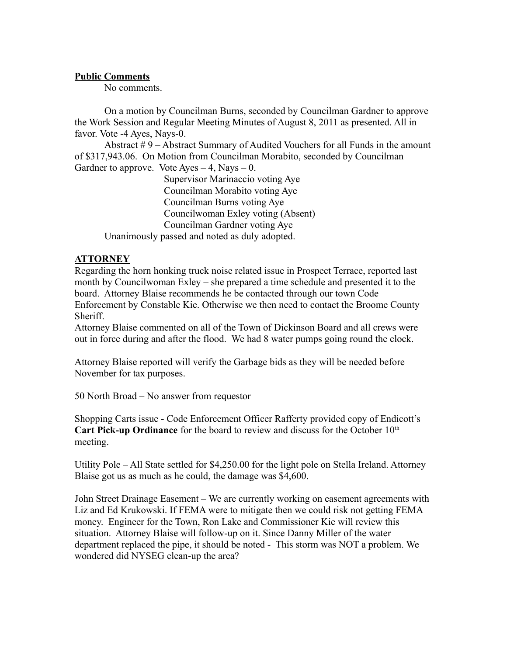#### **Public Comments**

No comments.

On a motion by Councilman Burns, seconded by Councilman Gardner to approve the Work Session and Regular Meeting Minutes of August 8, 2011 as presented. All in favor. Vote -4 Ayes, Nays-0.

Abstract # 9 – Abstract Summary of Audited Vouchers for all Funds in the amount of \$317,943.06. On Motion from Councilman Morabito, seconded by Councilman Gardner to approve. Vote Ayes  $-4$ , Nays  $-0$ .

Supervisor Marinaccio voting Aye Councilman Morabito voting Aye Councilman Burns voting Aye Councilwoman Exley voting (Absent) Councilman Gardner voting Aye Unanimously passed and noted as duly adopted.

**ATTORNEY**

Regarding the horn honking truck noise related issue in Prospect Terrace, reported last month by Councilwoman Exley – she prepared a time schedule and presented it to the board. Attorney Blaise recommends he be contacted through our town Code Enforcement by Constable Kie. Otherwise we then need to contact the Broome County Sheriff.

Attorney Blaise commented on all of the Town of Dickinson Board and all crews were out in force during and after the flood. We had 8 water pumps going round the clock.

Attorney Blaise reported will verify the Garbage bids as they will be needed before November for tax purposes.

50 North Broad – No answer from requestor

Shopping Carts issue - Code Enforcement Officer Rafferty provided copy of Endicott's **Cart Pick-up Ordinance** for the board to review and discuss for the October 10<sup>th</sup> meeting.

Utility Pole – All State settled for \$4,250.00 for the light pole on Stella Ireland. Attorney Blaise got us as much as he could, the damage was \$4,600.

John Street Drainage Easement – We are currently working on easement agreements with Liz and Ed Krukowski. If FEMA were to mitigate then we could risk not getting FEMA money. Engineer for the Town, Ron Lake and Commissioner Kie will review this situation. Attorney Blaise will follow-up on it. Since Danny Miller of the water department replaced the pipe, it should be noted - This storm was NOT a problem. We wondered did NYSEG clean-up the area?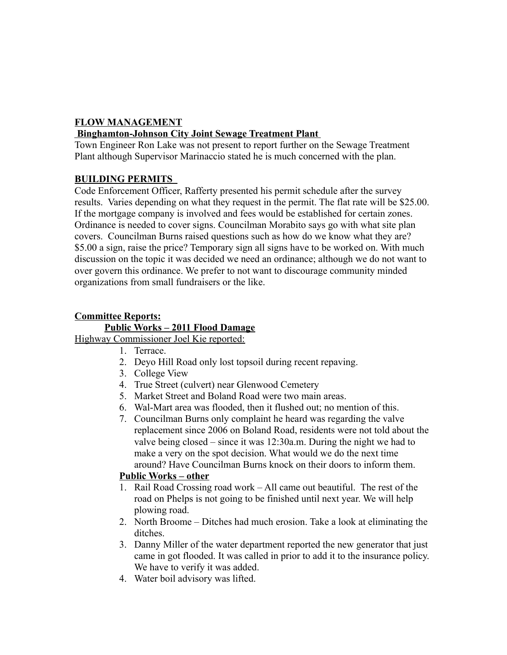# **FLOW MANAGEMENT**

## **Binghamton-Johnson City Joint Sewage Treatment Plant**

Town Engineer Ron Lake was not present to report further on the Sewage Treatment Plant although Supervisor Marinaccio stated he is much concerned with the plan.

## **BUILDING PERMITS**

Code Enforcement Officer, Rafferty presented his permit schedule after the survey results. Varies depending on what they request in the permit. The flat rate will be \$25.00. If the mortgage company is involved and fees would be established for certain zones. Ordinance is needed to cover signs. Councilman Morabito says go with what site plan covers. Councilman Burns raised questions such as how do we know what they are? \$5.00 a sign, raise the price? Temporary sign all signs have to be worked on. With much discussion on the topic it was decided we need an ordinance; although we do not want to over govern this ordinance. We prefer to not want to discourage community minded organizations from small fundraisers or the like.

#### **Committee Reports: Public Works – 2011 Flood Damage**

# Highway Commissioner Joel Kie reported:

- 1. Terrace.
- 2. Deyo Hill Road only lost topsoil during recent repaving.
- 3. College View
- 4. True Street (culvert) near Glenwood Cemetery
- 5. Market Street and Boland Road were two main areas.
- 6. Wal-Mart area was flooded, then it flushed out; no mention of this.
- 7. Councilman Burns only complaint he heard was regarding the valve replacement since 2006 on Boland Road, residents were not told about the valve being closed – since it was 12:30a.m. During the night we had to make a very on the spot decision. What would we do the next time around? Have Councilman Burns knock on their doors to inform them.

## **Public Works – other**

- 1. Rail Road Crossing road work All came out beautiful. The rest of the road on Phelps is not going to be finished until next year. We will help plowing road.
- 2. North Broome Ditches had much erosion. Take a look at eliminating the ditches.
- 3. Danny Miller of the water department reported the new generator that just came in got flooded. It was called in prior to add it to the insurance policy. We have to verify it was added.
- 4. Water boil advisory was lifted.